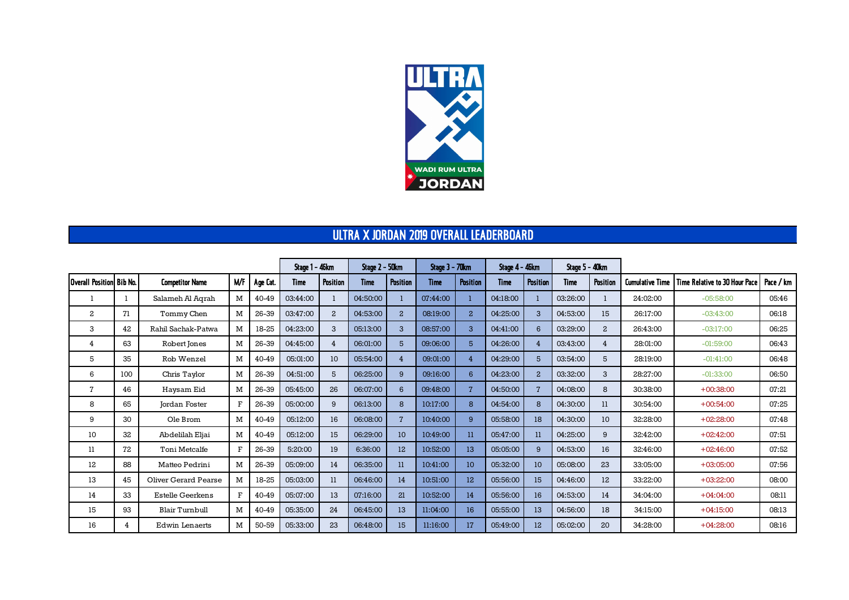

## ULTRA X JORDAN 2019 OVERALL LEADERBOARD

|                          |     |                         | Stage 1 – 46km |          | Stage 2 - 50km |                | Stage 3 - 70km |                 | Stage 4 - 46km |                 | <b>Stage 5 - 40km</b> |                 |             |                |                        |                               |           |
|--------------------------|-----|-------------------------|----------------|----------|----------------|----------------|----------------|-----------------|----------------|-----------------|-----------------------|-----------------|-------------|----------------|------------------------|-------------------------------|-----------|
| Overall Position Bib No. |     | <b>Competitor Name</b>  | <b>M/F</b>     | Age Cat. | <b>Time</b>    | Position       | <b>Time</b>    | Position        | <b>Time</b>    | <b>Position</b> | <b>Time</b>           | Position        | <b>Time</b> | Position       | <b>Cumulative Time</b> | Time Relative to 30 Hour Pace | Pace / km |
|                          |     | Salameh Al Agrah        | M              | 40-49    | 03:44:00       |                | 04:50:00       | 1               | 07:44:00       |                 | 04:18:00              |                 | 03:26:00    |                | 24:02:00               | $-05:58:00$                   | 05:46     |
| $\mathbf{2}$             | 71  | Tommy Chen              | M              | 26-39    | 03:47:00       | 2              | 04:53:00       | $\overline{a}$  | 08:19:00       | $\overline{a}$  | 04:25:00              | $\mathbf{3}$    | 04:53:00    | 15             | 26:17:00               | $-03:43:00$                   | 06:18     |
| 3                        | 42  | Rahil Sachak-Patwa      | M              | 18-25    | 04:23:00       | 3              | 05:13:00       | $\mathbf{3}$    | 08:57:00       | 3               | 04:41:00              | $6\overline{6}$ | 03:29:00    | $\overline{a}$ | 26:43:00               | $-03:17:00$                   | 06:25     |
| 4                        | 63  | Robert Jones            | M              | 26-39    | 04:45:00       | $\overline{4}$ | 06:01:00       | 5               | 09:06:00       | 5               | 04:26:00              | $\overline{4}$  | 03:43:00    | 4              | 28:01:00               | $-01:59:00$                   | 06:43     |
| 5                        | 35  | Rob Wenzel              | M              | 40-49    | 05:01:00       | 10             | 05:54:00       | $\overline{4}$  | 09:01:00       | 4               | 04:29:00              | 5               | 03:54:00    | 5              | 28:19:00               | $-01:41:00$                   | 06:48     |
| 6                        | 100 | Chris Taylor            | M              | 26-39    | 04:51:00       | 5              | 06:25:00       | 9               | 09:16:00       | 6               | 04:23:00              | $\overline{a}$  | 03:32:00    | 3              | 28:27:00               | $-01:33:00$                   | 06:50     |
| $\overline{7}$           | 46  | Haysam Eid              | M              | 26-39    | 05:45:00       | 26             | 06:07:00       | $6\overline{6}$ | 09:48:00       | $\overline{7}$  | 04:50:00              | $\overline{7}$  | 04:08:00    | 8              | 30:38:00               | $+00:38:00$                   | 07:21     |
| 8                        | 65  | <b>Jordan Foster</b>    | $\mathbf{F}$   | 26-39    | 05:00:00       | 9              | 06:13:00       | 8               | 10:17:00       | 8               | 04:54:00              | 8               | 04:30:00    | 11             | 30:54:00               | $+00:54:00$                   | 07:25     |
| 9                        | 30  | Ole Brom                | M              | 40-49    | 05:12:00       | 16             | 06:08:00       | $\overline{7}$  | 10:40:00       | 9               | 05:58:00              | 18              | 04:30:00    | 10             | 32:28:00               | $+02:28:00$                   | 07:48     |
| 10                       | 32  | Abdelilah Eljai         | M              | 40-49    | 05:12:00       | 15             | 06:29:00       | 10              | 10:49:00       | $_{11}$         | 05:47:00              | 11              | 04:25:00    | 9              | 32:42:00               | $+02:42:00$                   | 07:51     |
| 11                       | 72  | Toni Metcalfe           | $\mathbf{F}$   | 26-39    | 5:20:00        | 19             | 6:36:00        | 12              | 10:52:00       | 13              | 05:05:00              | 9               | 04:53:00    | 16             | 32:46:00               | $+02:46:00$                   | 07:52     |
| 12                       | 88  | Matteo Pedrini          | M              | 26-39    | 05:09:00       | 14             | 06:35:00       | 11              | 10:41:00       | 10 <sup>°</sup> | 05:32:00              | 10              | 05:08:00    | 23             | 33:05:00               | $+03:05:00$                   | 07:56     |
| 13                       | 45  | Oliver Gerard Pearse    | M              | 18-25    | 05:03:00       | 11             | 06:46:00       | 14              | 10:51:00       | 12              | 05:56:00              | 15              | 04:46:00    | 12             | 33:22:00               | $+03:22:00$                   | 08:00     |
| 14                       | 33  | <b>Estelle Geerkens</b> | $\mathbf{F}$   | 40-49    | 05:07:00       | 13             | 07:16:00       | 21              | 10:52:00       | 14              | 05:56:00              | 16              | 04:53:00    | 14             | 34:04:00               | $+04:04:00$                   | 08:11     |
| 15                       | 93  | <b>Blair Turnbull</b>   | M              | 40-49    | 05:35:00       | 24             | 06:45:00       | 13              | 11:04:00       | 16              | 05:55:00              | 13              | 04:56:00    | 18             | 34:15:00               | $+04:15:00$                   | 08:13     |
| 16                       | 4   | Edwin Lenaerts          | M              | 50-59    | 05:33:00       | 23             | 06:48:00       | 15              | 11:16:00       | 17              | 05:49:00              | 12              | 05:02:00    | 20             | 34:28:00               | $+04:28:00$                   | 08:16     |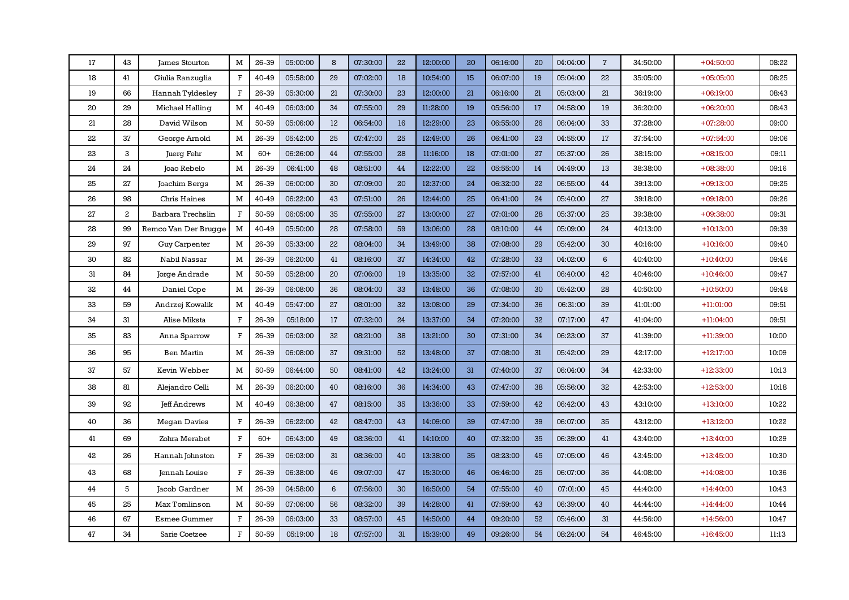| 17 | 43           | James Stourton       | M            | 26-39 | 05:00:00 | 8  | 07:30:00 | 22 | 12:00:00 | 20 | 06:16:00 | 20 | 04:04:00 | $\overline{7}$ | 34:50:00 | $+04:50:00$ | 08:22 |
|----|--------------|----------------------|--------------|-------|----------|----|----------|----|----------|----|----------|----|----------|----------------|----------|-------------|-------|
| 18 | 41           | Giulia Ranzuglia     | $\mathbf{F}$ | 40-49 | 05:58:00 | 29 | 07:02:00 | 18 | 10:54:00 | 15 | 06:07:00 | 19 | 05:04:00 | 22             | 35:05:00 | $+05:05:00$ | 08:25 |
| 19 | 66           | Hannah Tyldesley     | $\mathbf{F}$ | 26-39 | 05:30:00 | 21 | 07:30:00 | 23 | 12:00:00 | 21 | 06:16:00 | 21 | 05:03:00 | 21             | 36:19:00 | $+06:19:00$ | 08:43 |
| 20 | 29           | Michael Halling      | M            | 40-49 | 06:03:00 | 34 | 07:55:00 | 29 | 11:28:00 | 19 | 05:56:00 | 17 | 04:58:00 | 19             | 36:20:00 | $+06:20:00$ | 08:43 |
| 21 | 28           | David Wilson         | M            | 50-59 | 05:06:00 | 12 | 06:54:00 | 16 | 12:29:00 | 23 | 06:55:00 | 26 | 06:04:00 | 33             | 37:28:00 | $+07:28:00$ | 09:00 |
| 22 | 37           | George Arnold        | M            | 26-39 | 05:42:00 | 25 | 07:47:00 | 25 | 12:49:00 | 26 | 06:41:00 | 23 | 04:55:00 | 17             | 37:54:00 | $+07:54:00$ | 09:06 |
| 23 | 3            | Juerg Fehr           | M            | $60+$ | 06:26:00 | 44 | 07:55:00 | 28 | 11:16:00 | 18 | 07:01:00 | 27 | 05:37:00 | 26             | 38:15:00 | $+08:15:00$ | 09:11 |
| 24 | 24           | Joao Rebelo          | M            | 26-39 | 06:41:00 | 48 | 08:51:00 | 44 | 12:22:00 | 22 | 05:55:00 | 14 | 04:49:00 | 13             | 38:38:00 | $+08:38:00$ | 09:16 |
| 25 | 27           | Joachim Bergs        | M            | 26-39 | 06:00:00 | 30 | 07:09:00 | 20 | 12:37:00 | 24 | 06:32:00 | 22 | 06:55:00 | 44             | 39:13:00 | $+09:13:00$ | 09:25 |
| 26 | 98           | Chris Haines         | M            | 40-49 | 06:22:00 | 43 | 07:51:00 | 26 | 12:44:00 | 25 | 06:41:00 | 24 | 05:40:00 | 27             | 39:18:00 | $+09:18:00$ | 09:26 |
| 27 | $\mathbf{2}$ | Barbara Trechslin    | $\mathbf F$  | 50-59 | 06:05:00 | 35 | 07:55:00 | 27 | 13:00:00 | 27 | 07:01:00 | 28 | 05:37:00 | 25             | 39:38:00 | $+09:38:00$ | 09:31 |
| 28 | 99           | Remco Van Der Brugge | M            | 40-49 | 05:50:00 | 28 | 07:58:00 | 59 | 13:06:00 | 28 | 08:10:00 | 44 | 05:09:00 | 24             | 40:13:00 | $+10:13:00$ | 09:39 |
| 29 | 97           | <b>Guy Carpenter</b> | M            | 26-39 | 05:33:00 | 22 | 08:04:00 | 34 | 13:49:00 | 38 | 07:08:00 | 29 | 05:42:00 | 30             | 40:16:00 | $+10:16:00$ | 09:40 |
| 30 | 82           | Nabil Nassar         | M            | 26-39 | 06:20:00 | 41 | 08:16:00 | 37 | 14:34:00 | 42 | 07:28:00 | 33 | 04:02:00 | 6              | 40:40:00 | $+10:40:00$ | 09:46 |
| 31 | 84           | Jorge Andrade        | M            | 50-59 | 05:28:00 | 20 | 07:06:00 | 19 | 13:35:00 | 32 | 07:57:00 | 41 | 06:40:00 | 42             | 40:46:00 | $+10:46:00$ | 09:47 |
| 32 | 44           | Daniel Cope          | M            | 26-39 | 06:08:00 | 36 | 08:04:00 | 33 | 13:48:00 | 36 | 07:08:00 | 30 | 05:42:00 | 28             | 40:50:00 | $+10:50:00$ | 09:48 |
| 33 | 59           | Andrzej Kowalik      | M            | 40-49 | 05:47:00 | 27 | 08:01:00 | 32 | 13:08:00 | 29 | 07:34:00 | 36 | 06:31:00 | 39             | 41:01:00 | $+11:01:00$ | 09:51 |
| 34 | 31           | Alise Miksta         | $\mathbf{F}$ | 26-39 | 05:18:00 | 17 | 07:32:00 | 24 | 13:37:00 | 34 | 07:20:00 | 32 | 07:17:00 | 47             | 41:04:00 | $+11:04:00$ | 09:51 |
| 35 | 83           | Anna Sparrow         | $\mathbf F$  | 26-39 | 06:03:00 | 32 | 08:21:00 | 38 | 13:21:00 | 30 | 07:31:00 | 34 | 06:23:00 | 37             | 41:39:00 | $+11:39:00$ | 10:00 |
| 36 | 95           | <b>Ben Martin</b>    | M            | 26-39 | 06:08:00 | 37 | 09:31:00 | 52 | 13:48:00 | 37 | 07:08:00 | 31 | 05:42:00 | 29             | 42:17:00 | $+12:17:00$ | 10:09 |
| 37 | 57           | Kevin Webber         | M            | 50-59 | 06:44:00 | 50 | 08:41:00 | 42 | 13:24:00 | 31 | 07:40:00 | 37 | 06:04:00 | 34             | 42:33:00 | $+12:33:00$ | 10:13 |
| 38 | 81           | Alejandro Celli      | М            | 26-39 | 06:20:00 | 40 | 08:16:00 | 36 | 14:34:00 | 43 | 07:47:00 | 38 | 05:56:00 | 32             | 42:53:00 | $+12:53:00$ | 10:18 |
| 39 | 92           | <b>Jeff Andrews</b>  | м            | 40-49 | 06:38:00 | 47 | 08:15:00 | 35 | 13:36:00 | 33 | 07:59:00 | 42 | 06:42:00 | 43             | 43:10:00 | $+13:10:00$ | 10:22 |
| 40 | 36           | Megan Davies         | F            | 26-39 | 06:22:00 | 42 | 08:47:00 | 43 | 14:09:00 | 39 | 07:47:00 | 39 | 06:07:00 | 35             | 43:12:00 | $+13:12:00$ | 10:22 |
| 41 | 69           | Zohra Merabet        | $\mathbf{F}$ | $60+$ | 06:43:00 | 49 | 08:36:00 | 41 | 14:10:00 | 40 | 07:32:00 | 35 | 06:39:00 | 41             | 43:40:00 | $+13:40:00$ | 10:29 |
| 42 | 26           | Hannah Johnston      | $\mathbf F$  | 26-39 | 06:03:00 | 31 | 08:36:00 | 40 | 13:38:00 | 35 | 08:23:00 | 45 | 07:05:00 | 46             | 43:45:00 | $+13:45:00$ | 10:30 |
| 43 | 68           | Jennah Louise        | $\mathbf F$  | 26-39 | 06:38:00 | 46 | 09:07:00 | 47 | 15:30:00 | 46 | 06:46:00 | 25 | 06:07:00 | 36             | 44:08:00 | $+14:08:00$ | 10:36 |
| 44 | 5            | Jacob Gardner        | M            | 26-39 | 04:58:00 | 6  | 07:56:00 | 30 | 16:50:00 | 54 | 07:55:00 | 40 | 07:01:00 | 45             | 44:40:00 | $+14:40:00$ | 10:43 |
| 45 | 25           | Max Tomlinson        | M            | 50-59 | 07:06:00 | 56 | 08:32:00 | 39 | 14:28:00 | 41 | 07:59:00 | 43 | 06:39:00 | 40             | 44:44:00 | $+14:44:00$ | 10:44 |
| 46 | 67           | <b>Esmee Gummer</b>  | F            | 26-39 | 06:03:00 | 33 | 08:57:00 | 45 | 14:50:00 | 44 | 09:20:00 | 52 | 05:46:00 | 31             | 44:56:00 | $+14:56:00$ | 10:47 |
| 47 | 34           | Sarie Coetzee        | $\mathbf{F}$ | 50-59 | 05:19:00 | 18 | 07:57:00 | 31 | 15:39:00 | 49 | 09:26:00 | 54 | 08:24:00 | 54             | 46:45:00 | $+16:45:00$ | 11:13 |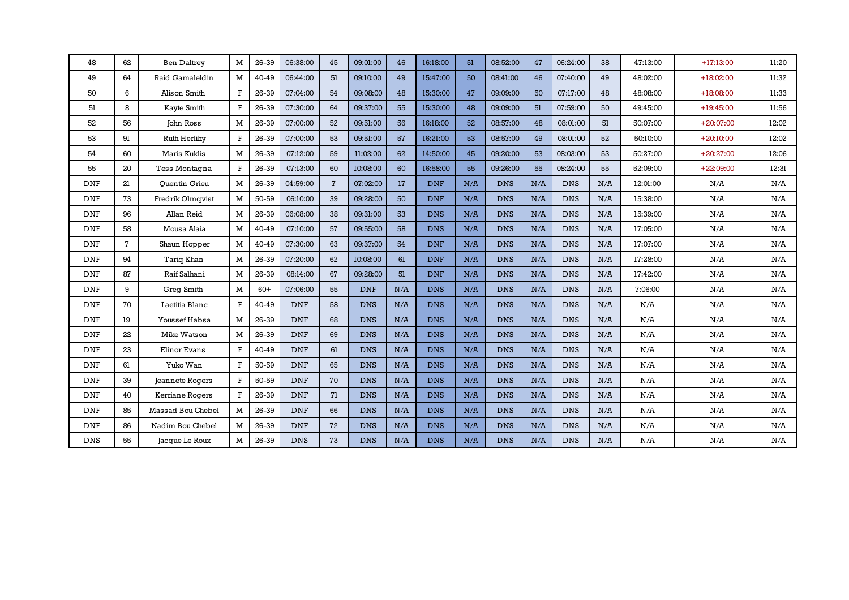| 48         | 62           | <b>Ben Daltrey</b>     | M            | 26-39 | 06:38:00   | 45             | 09:01:00   | 46  | 16:18:00   | 51  | 08:52:00   | 47  | 06:24:00   | 38  | 47:13:00 | $+17:13:00$ | 11:20     |
|------------|--------------|------------------------|--------------|-------|------------|----------------|------------|-----|------------|-----|------------|-----|------------|-----|----------|-------------|-----------|
| 49         | 64           | Raid Gamaleldin        | M            | 40-49 | 06:44:00   | 51             | 09:10:00   | 49  | 15:47:00   | 50  | 08:41:00   | 46  | 07:40:00   | 49  | 48:02:00 | $+18:02:00$ | 11:32     |
| 50         | 6            | Alison Smith           | $\mathbf{F}$ | 26-39 | 07:04:00   | 54             | 09:08:00   | 48  | 15:30:00   | 47  | 09:09:00   | 50  | 07:17:00   | 48  | 48:08:00 | $+18:08:00$ | 11:33     |
| 51         | 8            | Kayte Smith            | $\mathbf{F}$ | 26-39 | 07:30:00   | 64             | 09:37:00   | 55  | 15:30:00   | 48  | 09:09:00   | 51  | 07:59:00   | 50  | 49:45:00 | $+19:45:00$ | 11:56     |
| 52         | 56           | John Ross              | M            | 26-39 | 07:00:00   | 52             | 09:51:00   | 56  | 16:18:00   | 52  | 08:57:00   | 48  | 08:01:00   | 51  | 50:07:00 | $+20:07:00$ | 12:02     |
| 53         | 91           | Ruth Herlihy           | $\mathbf{F}$ | 26-39 | 07:00:00   | 53             | 09:51:00   | 57  | 16:21:00   | 53  | 08:57:00   | 49  | 08:01:00   | 52  | 50:10:00 | $+20:10:00$ | 12:02     |
| 54         | 60           | Maris Kuklis           | M            | 26-39 | 07:12:00   | 59             | 11:02:00   | 62  | 14:50:00   | 45  | 09:20:00   | 53  | 08:03:00   | 53  | 50:27:00 | $+20:27:00$ | 12:06     |
| 55         | 20           | Tess Montagna          | $\mathbf{F}$ | 26-39 | 07:13:00   | 60             | 10:08:00   | 60  | 16:58:00   | 55  | 09:26:00   | 55  | 08:24:00   | 55  | 52:09:00 | $+22:09:00$ | 12:31     |
| <b>DNF</b> | 21           | <b>Ouentin Grieu</b>   | M            | 26-39 | 04:59:00   | $\overline{7}$ | 07:02:00   | 17  | <b>DNF</b> | N/A | <b>DNS</b> | N/A | <b>DNS</b> | N/A | 12:01:00 | N/A         | N/A       |
| <b>DNF</b> | 73           | Fredrik Olmqvist       | M            | 50-59 | 06:10:00   | 39             | 09:28:00   | 50  | <b>DNF</b> | N/A | <b>DNS</b> | N/A | <b>DNS</b> | N/A | 15:38:00 | N/A         | N/A       |
| <b>DNF</b> | 96           | Allan Reid             | M            | 26-39 | 06:08:00   | 38             | 09:31:00   | 53  | <b>DNS</b> | N/A | <b>DNS</b> | N/A | <b>DNS</b> | N/A | 15:39:00 | N/A         | $\rm N/A$ |
| <b>DNF</b> | 58           | Mousa Alaia            | M            | 40-49 | 07:10:00   | 57             | 09:55:00   | 58  | <b>DNS</b> | N/A | <b>DNS</b> | N/A | <b>DNS</b> | N/A | 17:05:00 | N/A         | N/A       |
| <b>DNF</b> | $\mathbf{7}$ | Shaun Hopper           | M            | 40-49 | 07:30:00   | 63             | 09:37:00   | 54  | <b>DNF</b> | N/A | <b>DNS</b> | N/A | <b>DNS</b> | N/A | 17:07:00 | N/A         | $\rm N/A$ |
| <b>DNF</b> | 94           | Tariq Khan             | M            | 26-39 | 07:20:00   | 62             | 10:08:00   | 61  | <b>DNF</b> | N/A | <b>DNS</b> | N/A | <b>DNS</b> | N/A | 17:28:00 | N/A         | N/A       |
| <b>DNF</b> | 87           | Raif Salhani           | M            | 26-39 | 08:14:00   | 67             | 09:28:00   | 51  | <b>DNF</b> | N/A | <b>DNS</b> | N/A | <b>DNS</b> | N/A | 17:42:00 | N/A         | $\rm N/A$ |
| <b>DNF</b> | 9            | Greg Smith             | M            | $60+$ | 07:06:00   | 55             | <b>DNF</b> | N/A | <b>DNS</b> | N/A | <b>DNS</b> | N/A | <b>DNS</b> | N/A | 7:06:00  | N/A         | N/A       |
| <b>DNF</b> | 70           | Laetitia Blanc         | $\mathbf{F}$ | 40-49 | <b>DNF</b> | 58             | <b>DNS</b> | N/A | <b>DNS</b> | N/A | <b>DNS</b> | N/A | <b>DNS</b> | N/A | N/A      | N/A         | N/A       |
| <b>DNF</b> | 19           | Youssef Habsa          | M            | 26-39 | <b>DNF</b> | 68             | <b>DNS</b> | N/A | <b>DNS</b> | N/A | <b>DNS</b> | N/A | <b>DNS</b> | N/A | N/A      | N/A         | N/A       |
| <b>DNF</b> | 22           | Mike Watson            | M            | 26-39 | <b>DNF</b> | 69             | <b>DNS</b> | N/A | <b>DNS</b> | N/A | <b>DNS</b> | N/A | <b>DNS</b> | N/A | N/A      | N/A         | N/A       |
| <b>DNF</b> | 23           | <b>Elinor Evans</b>    | F            | 40-49 | <b>DNF</b> | 61             | <b>DNS</b> | N/A | <b>DNS</b> | N/A | <b>DNS</b> | N/A | <b>DNS</b> | N/A | N/A      | N/A         | $\rm N/A$ |
| <b>DNF</b> | 61           | Yuko Wan               | $\mathbf{F}$ | 50-59 | <b>DNF</b> | 65             | <b>DNS</b> | N/A | <b>DNS</b> | N/A | <b>DNS</b> | N/A | <b>DNS</b> | N/A | N/A      | N/A         | N/A       |
| <b>DNF</b> | 39           | <b>Jeannete Rogers</b> | $\mathbf F$  | 50-59 | <b>DNF</b> | 70             | <b>DNS</b> | N/A | <b>DNS</b> | N/A | <b>DNS</b> | N/A | <b>DNS</b> | N/A | N/A      | N/A         | $\rm N/A$ |
| <b>DNF</b> | 40           | Kerriane Rogers        | $\mathbf{F}$ | 26-39 | <b>DNF</b> | 71             | <b>DNS</b> | N/A | <b>DNS</b> | N/A | <b>DNS</b> | N/A | <b>DNS</b> | N/A | N/A      | N/A         | N/A       |
| <b>DNF</b> | 85           | Massad Bou Chebel      | M            | 26-39 | <b>DNF</b> | 66             | <b>DNS</b> | N/A | <b>DNS</b> | N/A | <b>DNS</b> | N/A | <b>DNS</b> | N/A | N/A      | N/A         | N/A       |
| <b>DNF</b> | 86           | Nadim Bou Chebel       | M            | 26-39 | <b>DNF</b> | 72             | <b>DNS</b> | N/A | <b>DNS</b> | N/A | <b>DNS</b> | N/A | <b>DNS</b> | N/A | N/A      | N/A         | $\rm N/A$ |
| <b>DNS</b> | 55           | Jacque Le Roux         | M            | 26-39 | <b>DNS</b> | 73             | <b>DNS</b> | N/A | <b>DNS</b> | N/A | <b>DNS</b> | N/A | <b>DNS</b> | N/A | N/A      | N/A         | N/A       |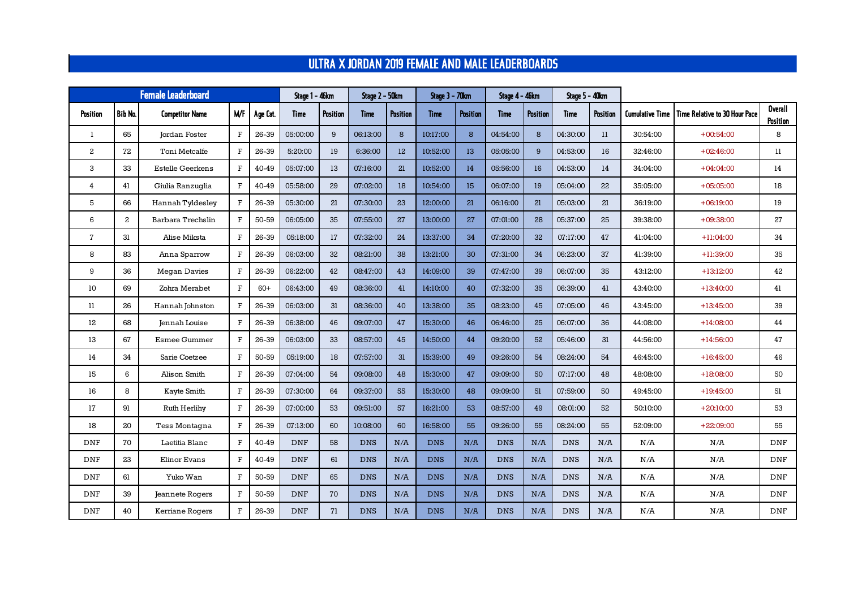## ULTRA X JORDAN 2019 FEMALE AND MALE LEADERBOARDS

|                         |         | <b>Female Leaderboard</b> |              | Stage 1 - 46km<br>Stage 2 - 50km |            |          |            | Stage 3 - 70km |             | Stage 4 - 46km  |             | <b>Stage 5 - 40km</b> |             |          |                        |                               |                            |
|-------------------------|---------|---------------------------|--------------|----------------------------------|------------|----------|------------|----------------|-------------|-----------------|-------------|-----------------------|-------------|----------|------------------------|-------------------------------|----------------------------|
| Position                | Bib No. | <b>Competitor Name</b>    | M/F          | Age Cat.                         | Time       | Position | Time       | Position       | <b>Time</b> | <b>Position</b> | <b>Time</b> | Position              | <b>Time</b> | Position | <b>Cumulative Time</b> | Time Relative to 30 Hour Pace | <b>Overall</b><br>Position |
| 1                       | 65      | Jordan Foster             | $\mathbf F$  | 26-39                            | 05:00:00   | 9        | 06:13:00   | 8              | 10:17:00    | 8               | 04:54:00    | 8                     | 04:30:00    | 11       | 30:54:00               | $+00:54:00$                   | 8                          |
| $\mathbf{2}$            | 72      | Toni Metcalfe             | $\mathbf F$  | 26-39                            | 5:20:00    | 19       | 6:36:00    | 12             | 10:52:00    | 13              | 05:05:00    | 9                     | 04:53:00    | 16       | 32:46:00               | $+02:46:00$                   | 11                         |
| 3                       | 33      | <b>Estelle Geerkens</b>   | $\mathbf{F}$ | 40-49                            | 05:07:00   | 13       | 07:16:00   | 21             | 10:52:00    | 14              | 05:56:00    | 16                    | 04:53:00    | 14       | 34:04:00               | $+04:04:00$                   | 14                         |
| $\overline{\mathbf{4}}$ | 41      | Giulia Ranzuglia          | $\mathbf{F}$ | 40-49                            | 05:58:00   | 29       | 07:02:00   | 18             | 10:54:00    | 15              | 06:07:00    | 19                    | 05:04:00    | 22       | 35:05:00               | $+05:05:00$                   | 18                         |
| 5                       | 66      | Hannah Tyldesley          | $\mathbf{F}$ | 26-39                            | 05:30:00   | 21       | 07:30:00   | 23             | 12:00:00    | 21              | 06:16:00    | 21                    | 05:03:00    | 21       | 36:19:00               | $+06:19:00$                   | 19                         |
| 6                       | 2       | Barbara Trechslin         | $\mathbf{F}$ | 50-59                            | 06:05:00   | 35       | 07:55:00   | 27             | 13:00:00    | 27              | 07:01:00    | 28                    | 05:37:00    | 25       | 39:38:00               | $+09:38:00$                   | 27                         |
| $\overline{7}$          | 31      | Alise Miksta              | $\mathbf{F}$ | 26-39                            | 05:18:00   | 17       | 07:32:00   | 24             | 13:37:00    | 34              | 07:20:00    | 32                    | 07:17:00    | 47       | 41:04:00               | $+11:04:00$                   | 34                         |
| 8                       | 83      | Anna Sparrow              | $\mathbf{F}$ | 26-39                            | 06:03:00   | 32       | 08:21:00   | 38             | 13:21:00    | 30              | 07:31:00    | 34                    | 06:23:00    | 37       | 41:39:00               | $+11:39:00$                   | 35                         |
| 9                       | 36      | Megan Davies              | $\mathbf{F}$ | 26-39                            | 06:22:00   | 42       | 08:47:00   | 43             | 14:09:00    | 39              | 07:47:00    | 39                    | 06:07:00    | 35       | 43:12:00               | $+13:12:00$                   | 42                         |
| 10                      | 69      | Zohra Merabet             | $\mathbf{F}$ | $60+$                            | 06:43:00   | 49       | 08:36:00   | 41             | 14:10:00    | 40              | 07:32:00    | 35                    | 06:39:00    | 41       | 43:40:00               | $+13:40:00$                   | 41                         |
| 11                      | 26      | Hannah Johnston           | $\mathbf{F}$ | 26-39                            | 06:03:00   | 31       | 08:36:00   | 40             | 13:38:00    | 35              | 08:23:00    | 45                    | 07:05:00    | 46       | 43:45:00               | $+13:45:00$                   | 39                         |
| 12                      | 68      | Jennah Louise             | $\mathbf{F}$ | 26-39                            | 06:38:00   | 46       | 09:07:00   | 47             | 15:30:00    | 46              | 06:46:00    | 25                    | 06:07:00    | 36       | 44:08:00               | $+14:08:00$                   | 44                         |
| 13                      | 67      | <b>Esmee Gummer</b>       | $\mathbf{F}$ | 26-39                            | 06:03:00   | 33       | 08:57:00   | 45             | 14:50:00    | 44              | 09:20:00    | 52                    | 05:46:00    | 31       | 44:56:00               | $+14:56:00$                   | 47                         |
| 14                      | 34      | Sarie Coetzee             | $\mathbf{F}$ | 50-59                            | 05:19:00   | 18       | 07:57:00   | 31             | 15:39:00    | 49              | 09:26:00    | 54                    | 08:24:00    | 54       | 46:45:00               | $+16:45:00$                   | 46                         |
| 15                      | 6       | Alison Smith              | $\mathbf{F}$ | 26-39                            | 07:04:00   | 54       | 09:08:00   | 48             | 15:30:00    | 47              | 09:09:00    | 50                    | 07:17:00    | 48       | 48:08:00               | $+18:08:00$                   | 50                         |
| 16                      | 8       | Kayte Smith               | $\mathbf{F}$ | 26-39                            | 07:30:00   | 64       | 09:37:00   | 55             | 15:30:00    | 48              | 09:09:00    | 51                    | 07:59:00    | 50       | 49:45:00               | $+19:45:00$                   | 51                         |
| 17                      | 91      | Ruth Herlihy              | $\mathbf{F}$ | 26-39                            | 07:00:00   | 53       | 09:51:00   | 57             | 16:21:00    | 53              | 08:57:00    | 49                    | 08:01:00    | 52       | 50:10:00               | $+20:10:00$                   | 53                         |
| 18                      | 20      | Tess Montagna             | $\mathbf{F}$ | 26-39                            | 07:13:00   | 60       | 10:08:00   | 60             | 16:58:00    | 55              | 09:26:00    | 55                    | 08:24:00    | 55       | 52:09:00               | $+22:09:00$                   | 55                         |
| <b>DNF</b>              | 70      | Laetitia Blanc            | $\mathbf{F}$ | 40-49                            | <b>DNF</b> | 58       | <b>DNS</b> | N/A            | <b>DNS</b>  | N/A             | <b>DNS</b>  | N/A                   | <b>DNS</b>  | N/A      | N/A                    | N/A                           | <b>DNF</b>                 |
| <b>DNF</b>              | 23      | Elinor Evans              | $\mathbf{F}$ | 40-49                            | <b>DNF</b> | 61       | <b>DNS</b> | N/A            | <b>DNS</b>  | N/A             | <b>DNS</b>  | N/A                   | <b>DNS</b>  | N/A      | N/A                    | N/A                           | <b>DNF</b>                 |
| <b>DNF</b>              | 61      | Yuko Wan                  | $\mathbf{F}$ | 50-59                            | <b>DNF</b> | 65       | <b>DNS</b> | N/A            | <b>DNS</b>  | N/A             | <b>DNS</b>  | N/A                   | <b>DNS</b>  | N/A      | N/A                    | N/A                           | <b>DNF</b>                 |
| <b>DNF</b>              | 39      | Jeannete Rogers           | $\mathbf{F}$ | 50-59                            | <b>DNF</b> | 70       | <b>DNS</b> | N/A            | <b>DNS</b>  | N/A             | <b>DNS</b>  | N/A                   | <b>DNS</b>  | N/A      | N/A                    | N/A                           | <b>DNF</b>                 |
| <b>DNF</b>              | 40      | Kerriane Rogers           | $\mathbf{F}$ | 26-39                            | <b>DNF</b> | 71       | <b>DNS</b> | N/A            | <b>DNS</b>  | N/A             | <b>DNS</b>  | N/A                   | <b>DNS</b>  | N/A      | N/A                    | N/A                           | <b>DNF</b>                 |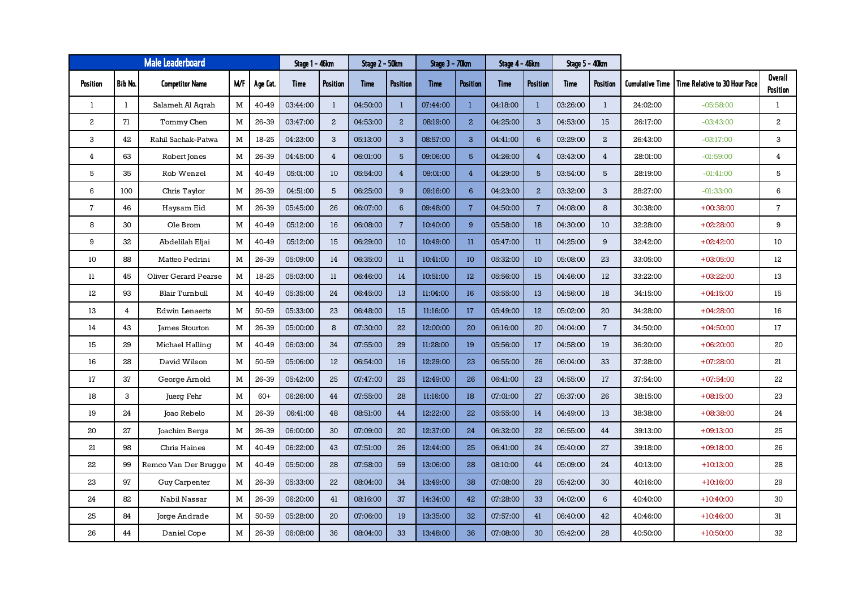|                         | <b>Male Leaderboard</b> | Stage 1 - 46km<br>Stage 2 - 50km |     |          | Stage 3 – 70km |                 | Stage 4 - 46km |                 | Stage 5 - 40km |                         |          |                 |          |                |                 |                               |                            |
|-------------------------|-------------------------|----------------------------------|-----|----------|----------------|-----------------|----------------|-----------------|----------------|-------------------------|----------|-----------------|----------|----------------|-----------------|-------------------------------|----------------------------|
| Position                | <b>Bib No.</b>          | <b>Competitor Name</b>           | M/F | Age Cat. | Time           | <b>Position</b> | Time           | <b>Position</b> | <b>Time</b>    | <b>Position</b>         | Time     | <b>Position</b> | Time     | Position       | Cumulative Time | Time Relative to 30 Hour Pace | <b>Overall</b><br>Position |
| $\mathbf{1}$            | $\mathbf{1}$            | Salameh Al Agrah                 | M   | 40-49    | 03:44:00       | $\mathbf{1}$    | 04:50:00       | $\mathbf{1}$    | 07:44:00       | $\mathbf{1}$            | 04:18:00 | $\mathbf{1}$    | 03:26:00 | $\mathbf{1}$   | 24:02:00        | $-05:58:00$                   | 1                          |
| $\overline{\mathbf{c}}$ | 71                      | Tommy Chen                       | M   | 26-39    | 03:47:00       | $\mathbf{2}$    | 04:53:00       | $\mathbf{2}$    | 08:19:00       | $\mathbf{2}$            | 04:25:00 | 3               | 04:53:00 | 15             | 26:17:00        | $-03:43:00$                   | $\mathbf{2}$               |
| 3                       | 42                      | Rahil Sachak-Patwa               | M   | 18-25    | 04:23:00       | 3               | 05:13:00       | 3               | 08:57:00       | 3                       | 04:41:00 | 6               | 03:29:00 | $\mathbf{2}$   | 26:43:00        | $-03:17:00$                   | 3                          |
| 4                       | 63                      | Robert Jones                     | M   | 26-39    | 04:45:00       | $\overline{4}$  | 06:01:00       | $5\phantom{1}$  | 09:06:00       | 5                       | 04:26:00 | $\overline{4}$  | 03:43:00 | $\overline{4}$ | 28:01:00        | $-01:59:00$                   | $\overline{4}$             |
| 5                       | 35                      | Rob Wenzel                       | M   | 40-49    | 05:01:00       | 10              | 05:54:00       | $\overline{4}$  | 09:01:00       | $\overline{4}$          | 04:29:00 | 5               | 03:54:00 | 5              | 28:19:00        | $-01:41:00$                   | 5                          |
| 6                       | 100                     | Chris Taylor                     | M   | 26-39    | 04:51:00       | 5               | 06:25:00       | 9               | 09:16:00       | $6^{\circ}$             | 04:23:00 | $\overline{a}$  | 03:32:00 | 3              | 28:27:00        | $-01:33:00$                   | 6                          |
| $\overline{7}$          | 46                      | Haysam Eid                       | M   | 26-39    | 05:45:00       | 26              | 06:07:00       | $\,6\,$         | 09:48:00       | $\overline{7}$          | 04:50:00 | $\sqrt{7}$      | 04:08:00 | 8              | 30:38:00        | $+00:38:00$                   | $\mathbf{7}$               |
| 8                       | 30                      | Ole Brom                         | M   | 40-49    | 05:12:00       | 16              | 06:08:00       | $\overline{7}$  | 10:40:00       | 9                       | 05:58:00 | 18              | 04:30:00 | 10             | 32:28:00        | $+02:28:00$                   | 9                          |
| 9                       | 32                      | Abdelilah Eljai                  | M   | 40-49    | 05:12:00       | 15              | 06:29:00       | 10              | 10:49:00       | $\overline{\mathbf{u}}$ | 05:47:00 | 11              | 04:25:00 | 9              | 32:42:00        | $+02:42:00$                   | 10                         |
| 10                      | 88                      | Matteo Pedrini                   | M   | 26-39    | 05:09:00       | 14              | 06:35:00       | $11\,$          | 10:41:00       | 10                      | 05:32:00 | 10              | 05:08:00 | 23             | 33:05:00        | $+03:05:00$                   | 12                         |
| 11                      | 45                      | <b>Oliver Gerard Pearse</b>      | M   | 18-25    | 05:03:00       | 11              | 06:46:00       | 14              | 10:51:00       | 12                      | 05:56:00 | 15              | 04:46:00 | 12             | 33:22:00        | $+03:22:00$                   | 13                         |
| 12                      | 93                      | Blair Turnbull                   | M   | 40-49    | 05:35:00       | 24              | 06:45:00       | 13              | 11:04:00       | 16                      | 05:55:00 | 13              | 04:56:00 | 18             | 34:15:00        | $+04:15:00$                   | 15                         |
| 13                      | $\overline{4}$          | <b>Edwin Lenaerts</b>            | M   | 50-59    | 05:33:00       | 23              | 06:48:00       | 15              | 11:16:00       | 17                      | 05:49:00 | 12              | 05:02:00 | 20             | 34:28:00        | $+04:28:00$                   | 16                         |
| 14                      | 43                      | James Stourton                   | M   | 26-39    | 05:00:00       | 8               | 07:30:00       | 22              | 12:00:00       | 20                      | 06:16:00 | 20              | 04:04:00 | $\overline{7}$ | 34:50:00        | $+04:50:00$                   | 17                         |
| 15                      | 29                      | Michael Halling                  | M   | 40-49    | 06:03:00       | 34              | 07:55:00       | 29              | 11:28:00       | 19                      | 05:56:00 | $17\,$          | 04:58:00 | 19             | 36:20:00        | $+06:20:00$                   | 20                         |
| 16                      | 28                      | David Wilson                     | M   | 50-59    | 05:06:00       | 12              | 06:54:00       | 16              | 12:29:00       | 23                      | 06:55:00 | 26              | 06:04:00 | 33             | 37:28:00        | $+07:28:00$                   | 21                         |
| 17                      | 37                      | George Arnold                    | M   | 26-39    | 05:42:00       | 25              | 07:47:00       | 25              | 12:49:00       | 26                      | 06:41:00 | 23              | 04:55:00 | 17             | 37:54:00        | $+07:54:00$                   | 22                         |
| 18                      | 3                       | Juerg Fehr                       | M   | $60+$    | 06:26:00       | 44              | 07:55:00       | 28              | 11:16:00       | 18                      | 07:01:00 | 27              | 05:37:00 | 26             | 38:15:00        | $+08:15:00$                   | 23                         |
| 19                      | 24                      | Joao Rebelo                      | M   | 26-39    | 06:41:00       | 48              | 08:51:00       | 44              | 12:22:00       | 22                      | 05:55:00 | 14              | 04:49:00 | 13             | 38:38:00        | $+08:38:00$                   | 24                         |
| 20                      | 27                      | Joachim Bergs                    | M   | 26-39    | 06:00:00       | 30              | 07:09:00       | 20              | 12:37:00       | 24                      | 06:32:00 | 22              | 06:55:00 | 44             | 39:13:00        | $+09:13:00$                   | 25                         |
| 21                      | 98                      | Chris Haines                     | M   | 40-49    | 06:22:00       | 43              | 07:51:00       | 26              | 12:44:00       | 25                      | 06:41:00 | 24              | 05:40:00 | 27             | 39:18:00        | $+09:18:00$                   | 26                         |
| 22                      | 99                      | Remco Van Der Brugge             | M   | 40-49    | 05:50:00       | 28              | 07:58:00       | 59              | 13:06:00       | 28                      | 08:10:00 | 44              | 05:09:00 | 24             | 40:13:00        | $+10:13:00$                   | 28                         |
| 23                      | 97                      | <b>Guy Carpenter</b>             | M   | 26-39    | 05:33:00       | 22              | 08:04:00       | 34              | 13:49:00       | 38                      | 07:08:00 | 29              | 05:42:00 | 30             | 40:16:00        | $+10:16:00$                   | 29                         |
| 24                      | 82                      | Nabil Nassar                     | M   | 26-39    | 06:20:00       | 41              | 08:16:00       | 37              | 14:34:00       | 42                      | 07:28:00 | 33              | 04:02:00 | 6              | 40:40:00        | $+10:40:00$                   | 30                         |
| 25                      | 84                      | Jorge Andrade                    | M   | 50-59    | 05:28:00       | 20              | 07:06:00       | 19              | 13:35:00       | 32                      | 07:57:00 | 41              | 06:40:00 | 42             | 40:46:00        | $+10:46:00$                   | 31                         |
| 26                      | 44                      | Daniel Cope                      | M   | 26-39    | 06:08:00       | 36              | 08:04:00       | 33              | 13:48:00       | 36                      | 07:08:00 | 30              | 05:42:00 | 28             | 40:50:00        | $+10:50:00$                   | 32                         |